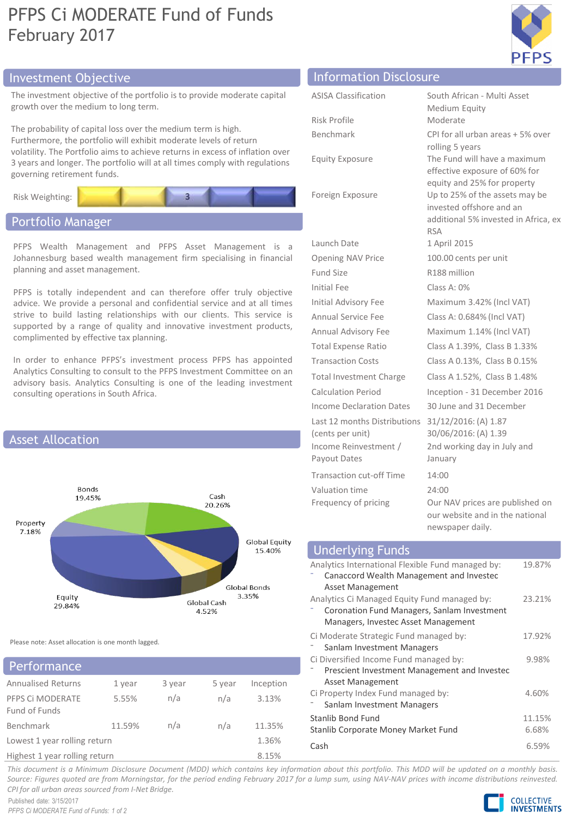## PFPS Ci MODERATE Fund of Funds February 2017



## Investment Objective Information Disclosure

The investment objective of the portfolio is to provide moderate capital growth over the medium to long term.

The probability of capital loss over the medium term is high. Furthermore, the portfolio will exhibit moderate levels of return volatility. The Portfolio aims to achieve returns in excess of inflation over 3 years and longer. The portfolio will at all times comply with regulations governing retirement funds.



### Portfolio Manager

PFPS Wealth Management and PFPS Asset Management is a Johannesburg based wealth management firm specialising in financial planning and asset management.

PFPS is totally independent and can therefore offer truly objective advice. We provide a personal and confidential service and at all times strive to build lasting relationships with our clients. This service is supported by a range of quality and innovative investment products, complimented by effective tax planning.

In order to enhance PFPS's investment process PFPS has appointed Analytics Consulting to consult to the PFPS Investment Committee on an advisory basis. Analytics Consulting is one of the leading investment consulting operations in South Africa.



Please note: Asset allocation is one month lagged.

## Performance

| <b>Annualised Returns</b>     | 1 year | 3 year | 5 year | Inception |  |
|-------------------------------|--------|--------|--------|-----------|--|
| PFPS CI MODERATE              | 5.55%  | n/a    | n/a    | 3.13%     |  |
| Fund of Funds                 |        |        |        |           |  |
| Benchmark                     | 11.59% | n/a    | n/a    | 11.35%    |  |
| Lowest 1 year rolling return  |        |        |        | 1.36%     |  |
| Highest 1 year rolling return |        |        |        | 8.15%     |  |

| <b>ASISA Classification</b>                      | South African - Multi Asset                                                                                                                     |
|--------------------------------------------------|-------------------------------------------------------------------------------------------------------------------------------------------------|
|                                                  | Medium Equity                                                                                                                                   |
| Risk Profile                                     | Moderate                                                                                                                                        |
| <b>Benchmark</b>                                 | CPI for all urban areas + 5% over                                                                                                               |
| <b>Equity Exposure</b>                           | rolling 5 years<br>The Fund will have a maximum<br>effective exposure of 60% for                                                                |
| Foreign Exposure                                 | equity and 25% for property<br>Up to 25% of the assets may be<br>invested offshore and an<br>additional 5% invested in Africa, ex<br><b>RSA</b> |
| Launch Date                                      | 1 April 2015                                                                                                                                    |
| <b>Opening NAV Price</b>                         | 100.00 cents per unit                                                                                                                           |
| Fund Size                                        | R188 million                                                                                                                                    |
| Initial Fee                                      | Class A: 0%                                                                                                                                     |
| Initial Advisory Fee                             | Maximum 3.42% (Incl VAT)                                                                                                                        |
| Annual Service Fee                               | Class A: 0.684% (Incl VAT)                                                                                                                      |
| Annual Advisory Fee                              | Maximum 1.14% (Incl VAT)                                                                                                                        |
| <b>Total Expense Ratio</b>                       | Class A 1.39%, Class B 1.33%                                                                                                                    |
| <b>Transaction Costs</b>                         | Class A 0.13%, Class B 0.15%                                                                                                                    |
| <b>Total Investment Charge</b>                   | Class A 1.52%, Class B 1.48%                                                                                                                    |
| Calculation Period                               | Inception - 31 December 2016                                                                                                                    |
| Income Declaration Dates                         | 30 June and 31 December                                                                                                                         |
| Last 12 months Distributions<br>(cents per unit) | 31/12/2016: (A) 1.87<br>30/06/2016: (A) 1.39                                                                                                    |
| Income Reinvestment /<br>Payout Dates            | 2nd working day in July and<br>January                                                                                                          |
| <b>Transaction cut-off Time</b>                  | 14:00                                                                                                                                           |
| Valuation time                                   | 24:00                                                                                                                                           |
| Frequency of pricing                             | Our NAV prices are published on<br>our website and in the national                                                                              |

| <b>Underlying Funds</b>                                                                                                            |                 |
|------------------------------------------------------------------------------------------------------------------------------------|-----------------|
| Analytics International Flexible Fund managed by:<br>Canaccord Wealth Management and Investec<br>Asset Management                  | 19.87%          |
| Analytics Ci Managed Equity Fund managed by:<br>Coronation Fund Managers, Sanlam Investment<br>Managers, Investec Asset Management | 23.21%          |
| Ci Moderate Strategic Fund managed by:<br>Sanlam Investment Managers                                                               | 17.92%          |
| Ci Diversified Income Fund managed by:<br>Prescient Investment Management and Investec<br>Asset Management                         | 9.98%           |
| Ci Property Index Fund managed by:<br>Sanlam Investment Managers                                                                   | 4.60%           |
| Stanlib Bond Fund<br>Stanlib Corporate Money Market Fund                                                                           | 11.15%<br>6.68% |
| Cash                                                                                                                               | 6.59%           |

newspaper daily.

This document is a Minimum Disclosure Document (MDD) which contains key information about this portfolio. This MDD will be updated on a monthly basis. Source: Figures guoted are from Morningstar, for the period ending February 2017 for a lump sum, using NAV-NAV prices with income distributions reinvested. *CPI for all urban areas sourced from I-Net Bridge.*

Published date: 3/15/2017 *PFPS Ci MODERATE Fund of Funds: 1 of 2*